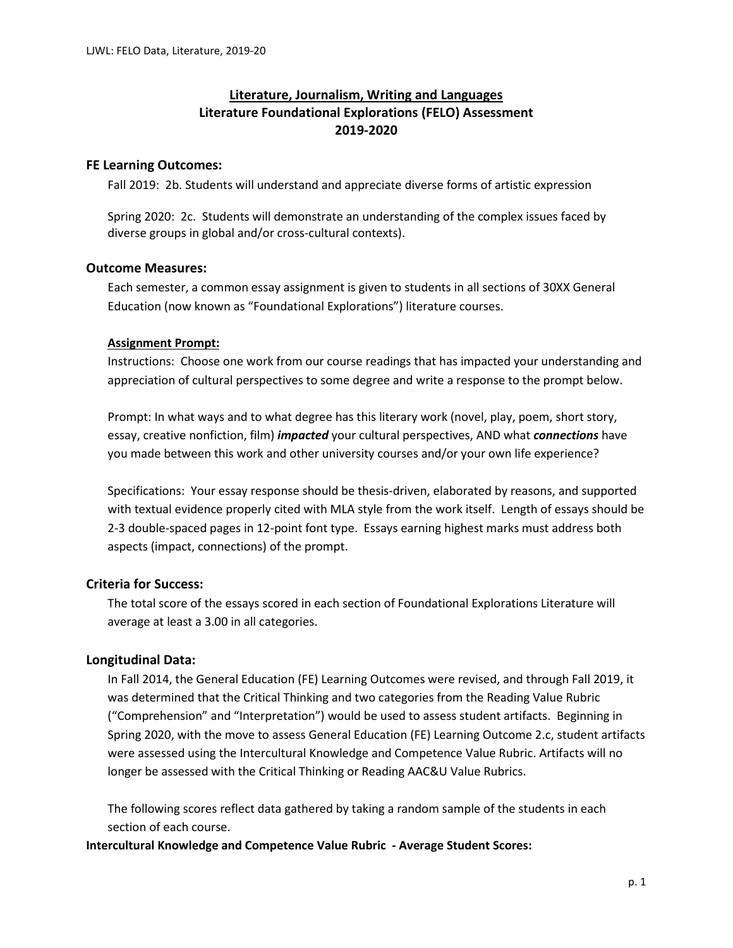## **Literature, Journalism, Writing and Languages Literature Foundational Explorations (FELO) Assessment 2019-2020**

## **FE Learning Outcomes:**

Fall 2019: 2b. Students will understand and appreciate diverse forms of artistic expression

Spring 2020: 2c. Students will demonstrate an understanding of the complex issues faced by diverse groups in global and/or cross-cultural contexts).

### **Outcome Measures:**

Each semester, a common essay assignment is given to students in all sections of 30XX General Education (now known as "Foundational Explorations") literature courses.

### **Assignment Prompt:**

Instructions: Choose one work from our course readings that has impacted your understanding and appreciation of cultural perspectives to some degree and write a response to the prompt below.

Prompt: In what ways and to what degree has this literary work (novel, play, poem, short story, essay, creative nonfiction, film) *impacted* your cultural perspectives, AND what *connections* have you made between this work and other university courses and/or your own life experience?

Specifications: Your essay response should be thesis-driven, elaborated by reasons, and supported with textual evidence properly cited with MLA style from the work itself. Length of essays should be 2-3 double-spaced pages in 12-point font type. Essays earning highest marks must address both aspects (impact, connections) of the prompt.

## **Criteria for Success:**

The total score of the essays scored in each section of Foundational Explorations Literature will average at least a 3.00 in all categories.

## **Longitudinal Data:**

In Fall 2014, the General Education (FE) Learning Outcomes were revised, and through Fall 2019, it was determined that the Critical Thinking and two categories from the Reading Value Rubric ("Comprehension" and "Interpretation") would be used to assess student artifacts. Beginning in Spring 2020, with the move to assess General Education (FE) Learning Outcome 2.c, student artifacts were assessed using the Intercultural Knowledge and Competence Value Rubric. Artifacts will no longer be assessed with the Critical Thinking or Reading AAC&U Value Rubrics.

The following scores reflect data gathered by taking a random sample of the students in each section of each course.

**Intercultural Knowledge and Competence Value Rubric - Average Student Scores:**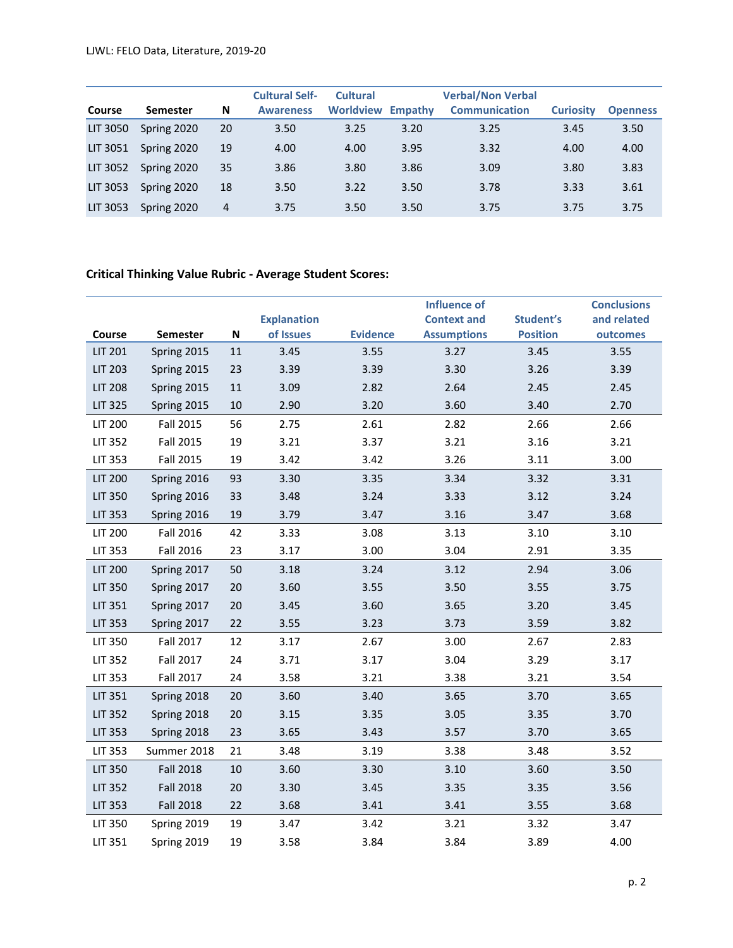## LJWL: FELO Data, Literature, 2019-20

| Course   | <b>Semester</b> | N  | <b>Cultural Self-</b><br><b>Awareness</b> | <b>Cultural</b><br><b>Worldview Empathy</b> |      | <b>Verbal/Non Verbal</b><br><b>Communication</b> | <b>Curiosity</b> | <b>Openness</b> |
|----------|-----------------|----|-------------------------------------------|---------------------------------------------|------|--------------------------------------------------|------------------|-----------------|
| LIT 3050 | Spring 2020     | 20 | 3.50                                      | 3.25                                        | 3.20 | 3.25                                             | 3.45             | 3.50            |
| LIT 3051 | Spring 2020     | 19 | 4.00                                      | 4.00                                        | 3.95 | 3.32                                             | 4.00             | 4.00            |
| LIT 3052 | Spring 2020     | 35 | 3.86                                      | 3.80                                        | 3.86 | 3.09                                             | 3.80             | 3.83            |
| LIT 3053 | Spring 2020     | 18 | 3.50                                      | 3.22                                        | 3.50 | 3.78                                             | 3.33             | 3.61            |
| LIT 3053 | Spring 2020     | 4  | 3.75                                      | 3.50                                        | 3.50 | 3.75                                             | 3.75             | 3.75            |

## **Critical Thinking Value Rubric - Average Student Scores:**

|                |                  |    |                    |                 | <b>Influence of</b> |                 | <b>Conclusions</b> |
|----------------|------------------|----|--------------------|-----------------|---------------------|-----------------|--------------------|
|                |                  |    | <b>Explanation</b> |                 | <b>Context and</b>  | Student's       | and related        |
| Course         | Semester         | N  | of Issues          | <b>Evidence</b> | <b>Assumptions</b>  | <b>Position</b> | outcomes           |
| <b>LIT 201</b> | Spring 2015      | 11 | 3.45               | 3.55            | 3.27                | 3.45            | 3.55               |
| <b>LIT 203</b> | Spring 2015      | 23 | 3.39               | 3.39            | 3.30                | 3.26            | 3.39               |
| <b>LIT 208</b> | Spring 2015      | 11 | 3.09               | 2.82            | 2.64                | 2.45            | 2.45               |
| <b>LIT 325</b> | Spring 2015      | 10 | 2.90               | 3.20            | 3.60                | 3.40            | 2.70               |
| <b>LIT 200</b> | <b>Fall 2015</b> | 56 | 2.75               | 2.61            | 2.82                | 2.66            | 2.66               |
| LIT 352        | <b>Fall 2015</b> | 19 | 3.21               | 3.37            | 3.21                | 3.16            | 3.21               |
| LIT 353        | <b>Fall 2015</b> | 19 | 3.42               | 3.42            | 3.26                | 3.11            | 3.00               |
| <b>LIT 200</b> | Spring 2016      | 93 | 3.30               | 3.35            | 3.34                | 3.32            | 3.31               |
| <b>LIT 350</b> | Spring 2016      | 33 | 3.48               | 3.24            | 3.33                | 3.12            | 3.24               |
| LIT 353        | Spring 2016      | 19 | 3.79               | 3.47            | 3.16                | 3.47            | 3.68               |
| <b>LIT 200</b> | <b>Fall 2016</b> | 42 | 3.33               | 3.08            | 3.13                | 3.10            | 3.10               |
| LIT 353        | Fall 2016        | 23 | 3.17               | 3.00            | 3.04                | 2.91            | 3.35               |
| <b>LIT 200</b> | Spring 2017      | 50 | 3.18               | 3.24            | 3.12                | 2.94            | 3.06               |
| <b>LIT 350</b> | Spring 2017      | 20 | 3.60               | 3.55            | 3.50                | 3.55            | 3.75               |
| LIT 351        | Spring 2017      | 20 | 3.45               | 3.60            | 3.65                | 3.20            | 3.45               |
| LIT 353        | Spring 2017      | 22 | 3.55               | 3.23            | 3.73                | 3.59            | 3.82               |
| LIT 350        | <b>Fall 2017</b> | 12 | 3.17               | 2.67            | 3.00                | 2.67            | 2.83               |
| LIT 352        | Fall 2017        | 24 | 3.71               | 3.17            | 3.04                | 3.29            | 3.17               |
| LIT 353        | <b>Fall 2017</b> | 24 | 3.58               | 3.21            | 3.38                | 3.21            | 3.54               |
| LIT 351        | Spring 2018      | 20 | 3.60               | 3.40            | 3.65                | 3.70            | 3.65               |
| <b>LIT 352</b> | Spring 2018      | 20 | 3.15               | 3.35            | 3.05                | 3.35            | 3.70               |
| <b>LIT 353</b> | Spring 2018      | 23 | 3.65               | 3.43            | 3.57                | 3.70            | 3.65               |
| LIT 353        | Summer 2018      | 21 | 3.48               | 3.19            | 3.38                | 3.48            | 3.52               |
| <b>LIT 350</b> | <b>Fall 2018</b> | 10 | 3.60               | 3.30            | 3.10                | 3.60            | 3.50               |
| <b>LIT 352</b> | <b>Fall 2018</b> | 20 | 3.30               | 3.45            | 3.35                | 3.35            | 3.56               |
| LIT 353        | <b>Fall 2018</b> | 22 | 3.68               | 3.41            | 3.41                | 3.55            | 3.68               |
| <b>LIT 350</b> | Spring 2019      | 19 | 3.47               | 3.42            | 3.21                | 3.32            | 3.47               |
| LIT 351        | Spring 2019      | 19 | 3.58               | 3.84            | 3.84                | 3.89            | 4.00               |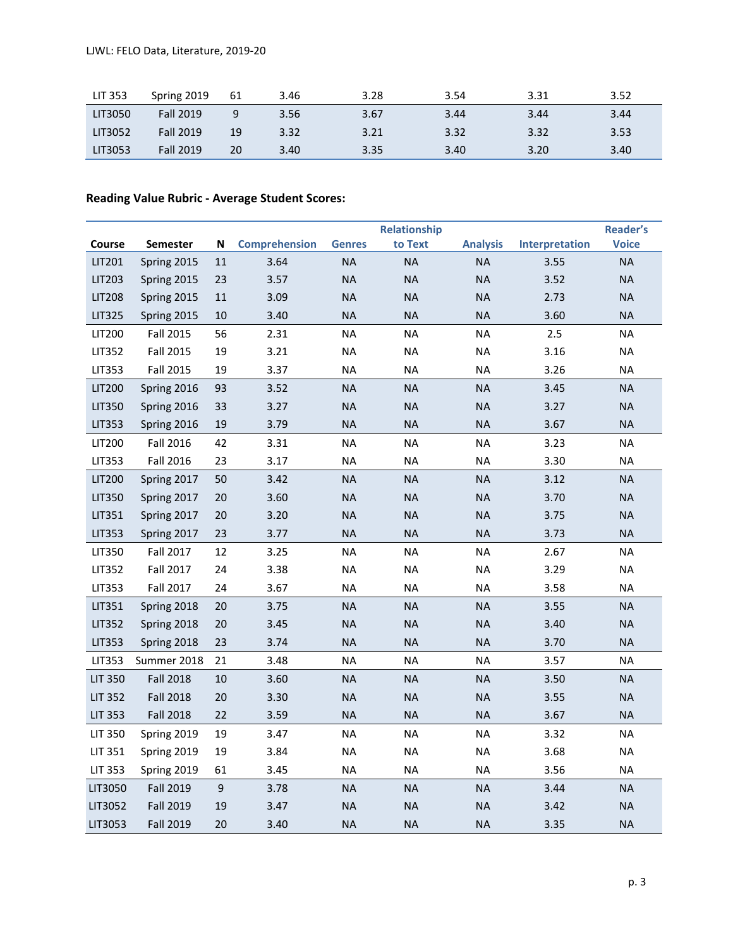| <b>LIT 353</b> | Spring 2019      | 61 | 3.46 | 3.28 | 3.54 | 3.31 | 3.52 |
|----------------|------------------|----|------|------|------|------|------|
| LIT3050        | <b>Fall 2019</b> |    | 3.56 | 3.67 | 3.44 | 3.44 | 3.44 |
| LIT3052        | <b>Fall 2019</b> | 19 | 3.32 | 3.21 | 3.32 | 3.32 | 3.53 |
| LIT3053        | <b>Fall 2019</b> | 20 | 3.40 | 3.35 | 3.40 | 3.20 | 3.40 |

## **Reading Value Rubric - Average Student Scores:**

|                |                  |        |                      |               | <b>Relationship</b> |                 |                | <b>Reader's</b> |
|----------------|------------------|--------|----------------------|---------------|---------------------|-----------------|----------------|-----------------|
| <b>Course</b>  | <b>Semester</b>  | N      | <b>Comprehension</b> | <b>Genres</b> | to Text             | <b>Analysis</b> | Interpretation | <b>Voice</b>    |
| LIT201         | Spring 2015      | 11     | 3.64                 | <b>NA</b>     | <b>NA</b>           | <b>NA</b>       | 3.55           | <b>NA</b>       |
| LIT203         | Spring 2015      | 23     | 3.57                 | <b>NA</b>     | <b>NA</b>           | <b>NA</b>       | 3.52           | <b>NA</b>       |
| <b>LIT208</b>  | Spring 2015      | 11     | 3.09                 | <b>NA</b>     | <b>NA</b>           | <b>NA</b>       | 2.73           | <b>NA</b>       |
| <b>LIT325</b>  | Spring 2015      | 10     | 3.40                 | <b>NA</b>     | <b>NA</b>           | <b>NA</b>       | 3.60           | <b>NA</b>       |
| LIT200         | <b>Fall 2015</b> | 56     | 2.31                 | <b>NA</b>     | NA                  | NA              | 2.5            | ΝA              |
| LIT352         | <b>Fall 2015</b> | 19     | 3.21                 | <b>NA</b>     | <b>NA</b>           | <b>NA</b>       | 3.16           | <b>NA</b>       |
| LIT353         | Fall 2015        | 19     | 3.37                 | <b>NA</b>     | <b>NA</b>           | <b>NA</b>       | 3.26           | <b>NA</b>       |
| <b>LIT200</b>  | Spring 2016      | 93     | 3.52                 | <b>NA</b>     | <b>NA</b>           | <b>NA</b>       | 3.45           | <b>NA</b>       |
| <b>LIT350</b>  | Spring 2016      | 33     | 3.27                 | <b>NA</b>     | <b>NA</b>           | <b>NA</b>       | 3.27           | <b>NA</b>       |
| <b>LIT353</b>  | Spring 2016      | 19     | 3.79                 | <b>NA</b>     | <b>NA</b>           | <b>NA</b>       | 3.67           | <b>NA</b>       |
| LIT200         | <b>Fall 2016</b> | 42     | 3.31                 | <b>NA</b>     | <b>NA</b>           | <b>NA</b>       | 3.23           | <b>NA</b>       |
| LIT353         | <b>Fall 2016</b> | 23     | 3.17                 | <b>NA</b>     | <b>NA</b>           | <b>NA</b>       | 3.30           | <b>NA</b>       |
| <b>LIT200</b>  | Spring 2017      | 50     | 3.42                 | <b>NA</b>     | <b>NA</b>           | <b>NA</b>       | 3.12           | <b>NA</b>       |
| <b>LIT350</b>  | Spring 2017      | 20     | 3.60                 | <b>NA</b>     | <b>NA</b>           | <b>NA</b>       | 3.70           | <b>NA</b>       |
| LIT351         | Spring 2017      | 20     | 3.20                 | <b>NA</b>     | <b>NA</b>           | <b>NA</b>       | 3.75           | <b>NA</b>       |
| <b>LIT353</b>  | Spring 2017      | 23     | 3.77                 | <b>NA</b>     | <b>NA</b>           | <b>NA</b>       | 3.73           | <b>NA</b>       |
| LIT350         | Fall 2017        | $12\,$ | 3.25                 | <b>NA</b>     | <b>NA</b>           | <b>NA</b>       | 2.67           | <b>NA</b>       |
| LIT352         | <b>Fall 2017</b> | 24     | 3.38                 | <b>NA</b>     | <b>NA</b>           | <b>NA</b>       | 3.29           | <b>NA</b>       |
| LIT353         | <b>Fall 2017</b> | 24     | 3.67                 | <b>NA</b>     | <b>NA</b>           | <b>NA</b>       | 3.58           | <b>NA</b>       |
| LIT351         | Spring 2018      | 20     | 3.75                 | <b>NA</b>     | <b>NA</b>           | <b>NA</b>       | 3.55           | <b>NA</b>       |
| <b>LIT352</b>  | Spring 2018      | 20     | 3.45                 | <b>NA</b>     | <b>NA</b>           | <b>NA</b>       | 3.40           | <b>NA</b>       |
| <b>LIT353</b>  | Spring 2018      | 23     | 3.74                 | <b>NA</b>     | <b>NA</b>           | <b>NA</b>       | 3.70           | <b>NA</b>       |
| <b>LIT353</b>  | Summer 2018      | 21     | 3.48                 | <b>NA</b>     | <b>NA</b>           | <b>NA</b>       | 3.57           | <b>NA</b>       |
| <b>LIT 350</b> | <b>Fall 2018</b> | 10     | 3.60                 | <b>NA</b>     | <b>NA</b>           | <b>NA</b>       | 3.50           | <b>NA</b>       |
| <b>LIT 352</b> | <b>Fall 2018</b> | 20     | 3.30                 | <b>NA</b>     | <b>NA</b>           | <b>NA</b>       | 3.55           | <b>NA</b>       |
| <b>LIT 353</b> | <b>Fall 2018</b> | 22     | 3.59                 | <b>NA</b>     | <b>NA</b>           | <b>NA</b>       | 3.67           | <b>NA</b>       |
| <b>LIT 350</b> | Spring 2019      | 19     | 3.47                 | <b>NA</b>     | <b>NA</b>           | <b>NA</b>       | 3.32           | <b>NA</b>       |
| LIT 351        | Spring 2019      | 19     | 3.84                 | <b>NA</b>     | <b>NA</b>           | <b>NA</b>       | 3.68           | <b>NA</b>       |
| LIT 353        | Spring 2019      | 61     | 3.45                 | <b>NA</b>     | <b>NA</b>           | <b>NA</b>       | 3.56           | <b>NA</b>       |
| LIT3050        | <b>Fall 2019</b> | 9      | 3.78                 | <b>NA</b>     | <b>NA</b>           | <b>NA</b>       | 3.44           | <b>NA</b>       |
| LIT3052        | Fall 2019        | 19     | 3.47                 | <b>NA</b>     | <b>NA</b>           | <b>NA</b>       | 3.42           | <b>NA</b>       |
| LIT3053        | <b>Fall 2019</b> | 20     | 3.40                 | <b>NA</b>     | <b>NA</b>           | <b>NA</b>       | 3.35           | <b>NA</b>       |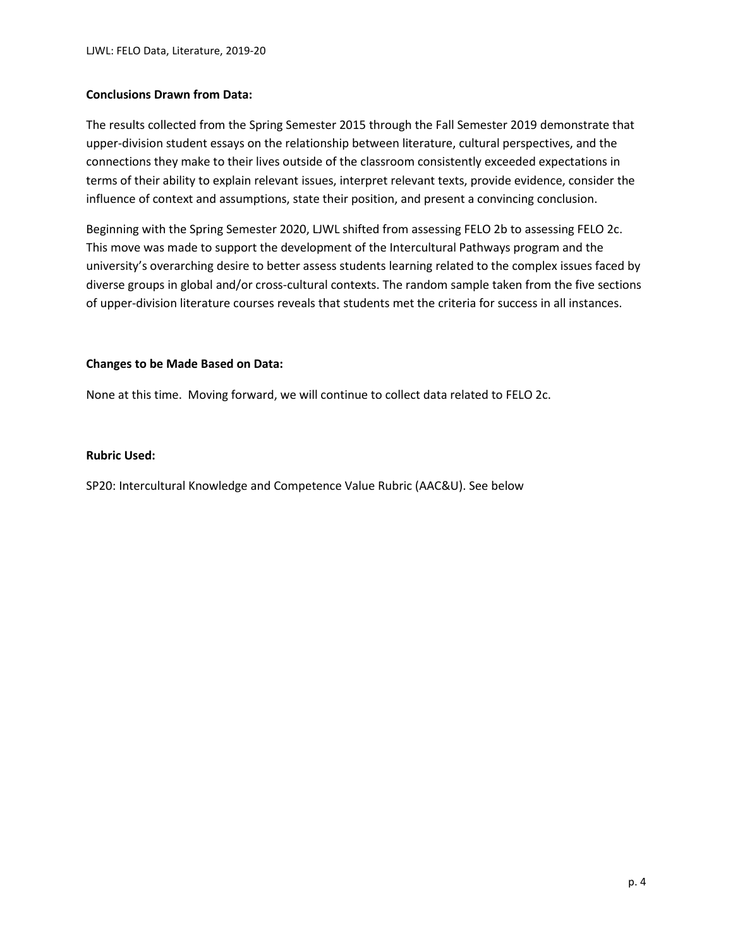### **Conclusions Drawn from Data:**

The results collected from the Spring Semester 2015 through the Fall Semester 2019 demonstrate that upper-division student essays on the relationship between literature, cultural perspectives, and the connections they make to their lives outside of the classroom consistently exceeded expectations in terms of their ability to explain relevant issues, interpret relevant texts, provide evidence, consider the influence of context and assumptions, state their position, and present a convincing conclusion.

Beginning with the Spring Semester 2020, LJWL shifted from assessing FELO 2b to assessing FELO 2c. This move was made to support the development of the Intercultural Pathways program and the university's overarching desire to better assess students learning related to the complex issues faced by diverse groups in global and/or cross-cultural contexts. The random sample taken from the five sections of upper-division literature courses reveals that students met the criteria for success in all instances.

#### **Changes to be Made Based on Data:**

None at this time. Moving forward, we will continue to collect data related to FELO 2c.

### **Rubric Used:**

SP20: Intercultural Knowledge and Competence Value Rubric (AAC&U). See below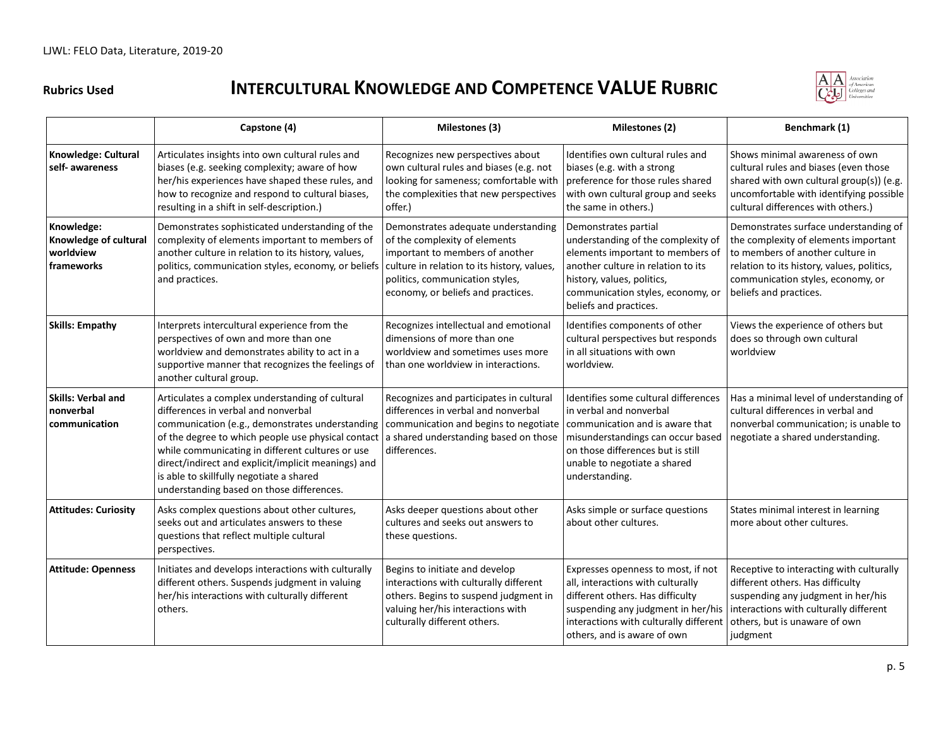## **Rubrics Used INTERCULTURAL KNOWLEDGE AND COMPETENCE VALUE RUBRIC**



|                                                                       | Capstone (4)                                                                                                                                                                                                                                                                                                                                                                                        | Milestones (3)                                                                                                                                                                                                                  | Milestones (2)                                                                                                                                                                                                                    | Benchmark (1)                                                                                                                                                                                                                  |
|-----------------------------------------------------------------------|-----------------------------------------------------------------------------------------------------------------------------------------------------------------------------------------------------------------------------------------------------------------------------------------------------------------------------------------------------------------------------------------------------|---------------------------------------------------------------------------------------------------------------------------------------------------------------------------------------------------------------------------------|-----------------------------------------------------------------------------------------------------------------------------------------------------------------------------------------------------------------------------------|--------------------------------------------------------------------------------------------------------------------------------------------------------------------------------------------------------------------------------|
| Knowledge: Cultural<br>self- awareness                                | Articulates insights into own cultural rules and<br>biases (e.g. seeking complexity; aware of how<br>her/his experiences have shaped these rules, and<br>how to recognize and respond to cultural biases,<br>resulting in a shift in self-description.)                                                                                                                                             | Recognizes new perspectives about<br>own cultural rules and biases (e.g. not<br>looking for sameness; comfortable with<br>the complexities that new perspectives<br>offer.)                                                     | Identifies own cultural rules and<br>biases (e.g. with a strong<br>preference for those rules shared<br>with own cultural group and seeks<br>the same in others.)                                                                 | Shows minimal awareness of own<br>cultural rules and biases (even those<br>shared with own cultural group(s)) (e.g.<br>uncomfortable with identifying possible<br>cultural differences with others.)                           |
| Knowledge:<br>Knowledge of cultural<br>worldview<br><b>frameworks</b> | Demonstrates sophisticated understanding of the<br>complexity of elements important to members of<br>another culture in relation to its history, values,<br>politics, communication styles, economy, or beliefs<br>and practices.                                                                                                                                                                   | Demonstrates adequate understanding<br>of the complexity of elements<br>important to members of another<br>culture in relation to its history, values,<br>politics, communication styles,<br>economy, or beliefs and practices. | Demonstrates partial<br>understanding of the complexity of<br>elements important to members of<br>another culture in relation to its<br>history, values, politics,<br>communication styles, economy, or<br>beliefs and practices. | Demonstrates surface understanding of<br>the complexity of elements important<br>to members of another culture in<br>relation to its history, values, politics,<br>communication styles, economy, or<br>beliefs and practices. |
| <b>Skills: Empathy</b>                                                | Interprets intercultural experience from the<br>perspectives of own and more than one<br>worldview and demonstrates ability to act in a<br>supportive manner that recognizes the feelings of<br>another cultural group.                                                                                                                                                                             | Recognizes intellectual and emotional<br>dimensions of more than one<br>worldview and sometimes uses more<br>than one worldview in interactions.                                                                                | Identifies components of other<br>cultural perspectives but responds<br>in all situations with own<br>worldview.                                                                                                                  | Views the experience of others but<br>does so through own cultural<br>worldview                                                                                                                                                |
| <b>Skills: Verbal and</b><br>nonverbal<br>communication               | Articulates a complex understanding of cultural<br>differences in verbal and nonverbal<br>communication (e.g., demonstrates understanding<br>of the degree to which people use physical contact<br>while communicating in different cultures or use<br>direct/indirect and explicit/implicit meanings) and<br>is able to skillfully negotiate a shared<br>understanding based on those differences. | Recognizes and participates in cultural<br>differences in verbal and nonverbal<br>communication and begins to negotiate   communication and is aware that<br>a shared understanding based on those<br>differences.              | Identifies some cultural differences<br>in verbal and nonverbal<br>misunderstandings can occur based<br>on those differences but is still<br>unable to negotiate a shared<br>understanding.                                       | Has a minimal level of understanding of<br>cultural differences in verbal and<br>nonverbal communication; is unable to<br>negotiate a shared understanding.                                                                    |
| <b>Attitudes: Curiosity</b>                                           | Asks complex questions about other cultures,<br>seeks out and articulates answers to these<br>questions that reflect multiple cultural<br>perspectives.                                                                                                                                                                                                                                             | Asks deeper questions about other<br>cultures and seeks out answers to<br>these questions.                                                                                                                                      | Asks simple or surface questions<br>about other cultures.                                                                                                                                                                         | States minimal interest in learning<br>more about other cultures.                                                                                                                                                              |
| <b>Attitude: Openness</b>                                             | Initiates and develops interactions with culturally<br>different others. Suspends judgment in valuing<br>her/his interactions with culturally different<br>others.                                                                                                                                                                                                                                  | Begins to initiate and develop<br>interactions with culturally different<br>others. Begins to suspend judgment in<br>valuing her/his interactions with<br>culturally different others.                                          | Expresses openness to most, if not<br>all, interactions with culturally<br>different others. Has difficulty<br>suspending any judgment in her/his<br>interactions with culturally different<br>others, and is aware of own        | Receptive to interacting with culturally<br>different others. Has difficulty<br>suspending any judgment in her/his<br>interactions with culturally different<br>others, but is unaware of own<br>judgment                      |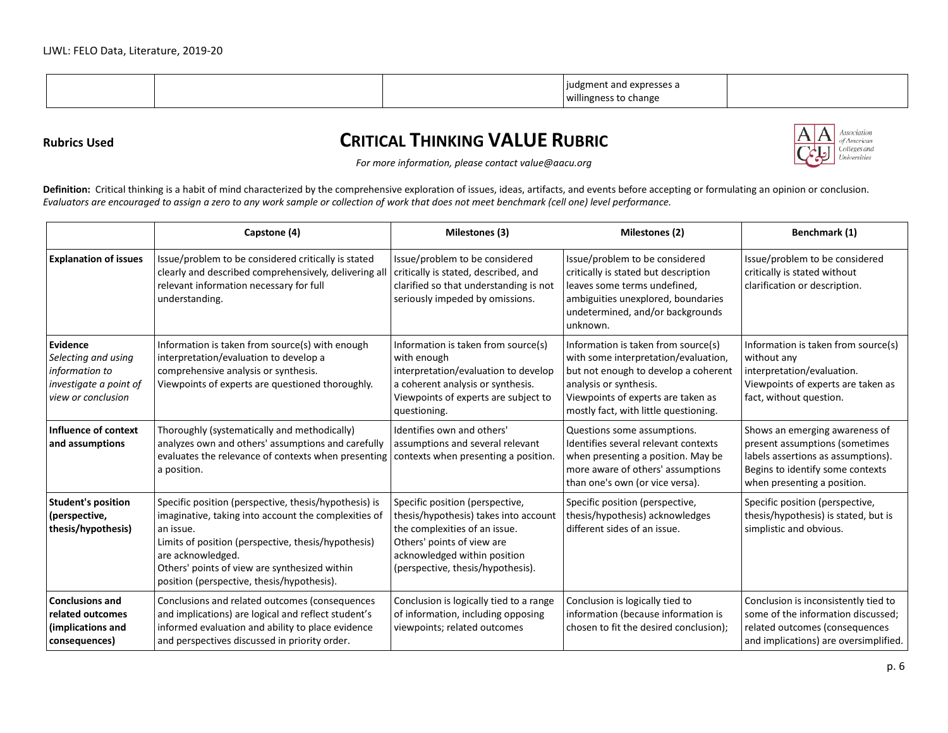| эсэ а<br><br><sub>ur</sub> iange<br>т<br><b>WWII.</b><br>. . |
|--------------------------------------------------------------|
|--------------------------------------------------------------|

## **Rubrics Used CRITICAL THINKING VALUE RUBRIC**



*For more information, please contact value@aacu.org*

Definition: Critical thinking is a habit of mind characterized by the comprehensive exploration of issues, ideas, artifacts, and events before accepting or formulating an opinion or conclusion. *Evaluators are encouraged to assign a zero to any work sample or collection of work that does not meet benchmark (cell one) level performance.*

|                                                                                                   | Capstone (4)                                                                                                                                                                                                                                                                                          | Milestones (3)                                                                                                                                                                                               | Milestones (2)                                                                                                                                                                                                               | Benchmark (1)                                                                                                                                                             |
|---------------------------------------------------------------------------------------------------|-------------------------------------------------------------------------------------------------------------------------------------------------------------------------------------------------------------------------------------------------------------------------------------------------------|--------------------------------------------------------------------------------------------------------------------------------------------------------------------------------------------------------------|------------------------------------------------------------------------------------------------------------------------------------------------------------------------------------------------------------------------------|---------------------------------------------------------------------------------------------------------------------------------------------------------------------------|
| <b>Explanation of issues</b>                                                                      | Issue/problem to be considered critically is stated<br>clearly and described comprehensively, delivering all<br>relevant information necessary for full<br>understanding.                                                                                                                             | Issue/problem to be considered<br>critically is stated, described, and<br>clarified so that understanding is not<br>seriously impeded by omissions.                                                          | Issue/problem to be considered<br>critically is stated but description<br>leaves some terms undefined,<br>ambiguities unexplored, boundaries<br>undetermined, and/or backgrounds<br>unknown.                                 | Issue/problem to be considered<br>critically is stated without<br>clarification or description.                                                                           |
| Evidence<br>Selecting and using<br>information to<br>investigate a point of<br>view or conclusion | Information is taken from source(s) with enough<br>interpretation/evaluation to develop a<br>comprehensive analysis or synthesis.<br>Viewpoints of experts are questioned thoroughly.                                                                                                                 | Information is taken from source(s)<br>with enough<br>interpretation/evaluation to develop<br>a coherent analysis or synthesis.<br>Viewpoints of experts are subject to<br>questioning.                      | Information is taken from source(s)<br>with some interpretation/evaluation,<br>but not enough to develop a coherent<br>analysis or synthesis.<br>Viewpoints of experts are taken as<br>mostly fact, with little questioning. | Information is taken from source(s)<br>without any<br>interpretation/evaluation.<br>Viewpoints of experts are taken as<br>fact, without question.                         |
| Influence of context<br>and assumptions                                                           | Thoroughly (systematically and methodically)<br>analyzes own and others' assumptions and carefully<br>evaluates the relevance of contexts when presenting<br>a position.                                                                                                                              | Identifies own and others'<br>assumptions and several relevant<br>contexts when presenting a position.                                                                                                       | Questions some assumptions.<br>Identifies several relevant contexts<br>when presenting a position. May be<br>more aware of others' assumptions<br>than one's own (or vice versa).                                            | Shows an emerging awareness of<br>present assumptions (sometimes<br>labels assertions as assumptions).<br>Begins to identify some contexts<br>when presenting a position. |
| <b>Student's position</b><br>(perspective,<br>thesis/hypothesis)                                  | Specific position (perspective, thesis/hypothesis) is<br>imaginative, taking into account the complexities of<br>an issue.<br>Limits of position (perspective, thesis/hypothesis)<br>are acknowledged.<br>Others' points of view are synthesized within<br>position (perspective, thesis/hypothesis). | Specific position (perspective,<br>thesis/hypothesis) takes into account<br>the complexities of an issue.<br>Others' points of view are<br>acknowledged within position<br>(perspective, thesis/hypothesis). | Specific position (perspective,<br>thesis/hypothesis) acknowledges<br>different sides of an issue.                                                                                                                           | Specific position (perspective,<br>thesis/hypothesis) is stated, but is<br>simplistic and obvious.                                                                        |
| <b>Conclusions and</b><br>related outcomes<br>(implications and<br>consequences)                  | Conclusions and related outcomes (consequences<br>and implications) are logical and reflect student's<br>informed evaluation and ability to place evidence<br>and perspectives discussed in priority order.                                                                                           | Conclusion is logically tied to a range<br>of information, including opposing<br>viewpoints; related outcomes                                                                                                | Conclusion is logically tied to<br>information (because information is<br>chosen to fit the desired conclusion);                                                                                                             | Conclusion is inconsistently tied to<br>some of the information discussed;<br>related outcomes (consequences<br>and implications) are oversimplified.                     |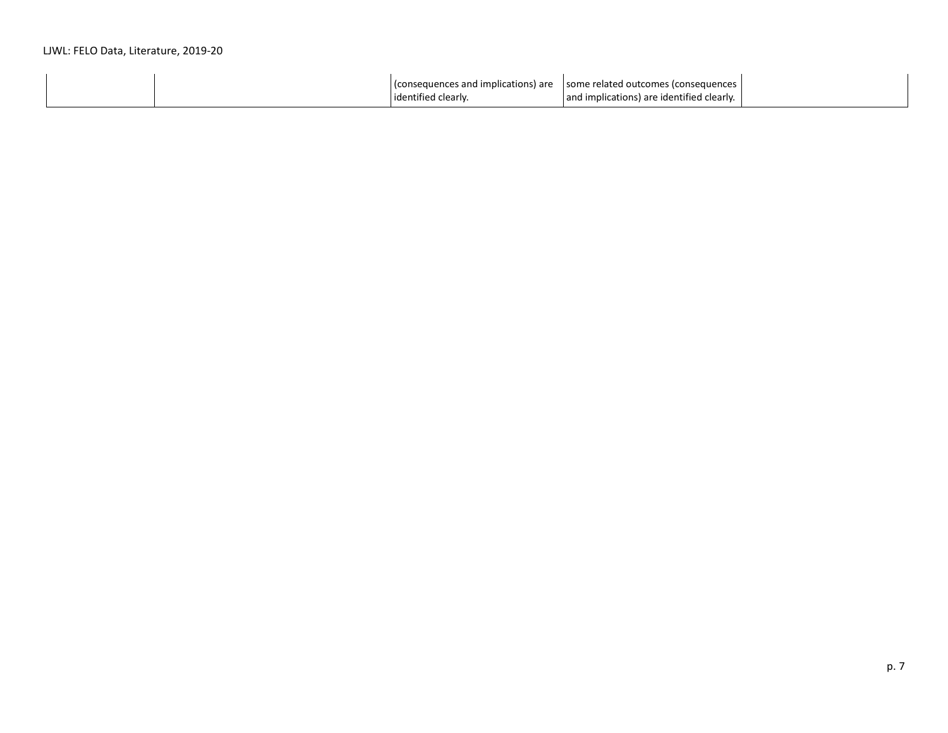| consequences and implications) are | some related outcomes (consequences       |  |
|------------------------------------|-------------------------------------------|--|
| identified clearly.                | and implications) are identified clearly. |  |